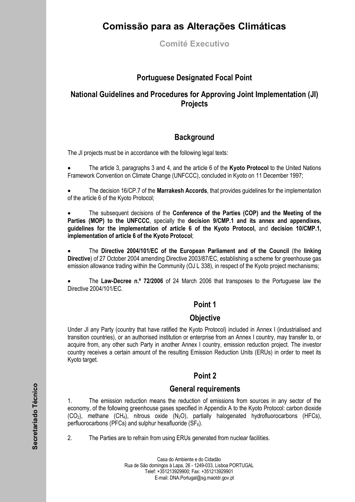# **Comissão para as Alterações Climáticas**

**Comité Executivo** 

## **Portuguese Designated Focal Point**

# **National Guidelines and Procedures for Approving Joint Implementation (JI) Projects**

## **Background**

The JI projects must be in accordance with the following legal texts:

• The article 3, paragraphs 3 and 4, and the article 6 of the **Kyoto Protocol** to the United Nations Framework Convention on Climate Change (UNFCCC), concluded in Kyoto on 11 December 1997;

• The decision 16/CP.7 of the **Marrakesh Accords**, that provides guidelines for the implementation of the article 6 of the Kyoto Protocol;

• The subsequent decisions of the **Conference of the Parties (COP) and the Meeting of the Parties (MOP) to the UNFCCC**, specially the **decision 9/CMP.1 and its annex and appendixes, guidelines for the implementation of article 6 of the Kyoto Protocol,** and **decision 10/CMP.1, implementation of article 6 of the Kyoto Protocol**;

• The **Directive 2004/101/EC of the European Parliament and of the Council** (the **linking Directive**) of 27 October 2004 amending Directive 2003/87/EC, establishing a scheme for greenhouse gas emission allowance trading within the Community (OJ L 338), in respect of the Kyoto project mechanisms;

• The **Law-Decree n.º 72/2006** of 24 March 2006 that transposes to the Portuguese law the Directive 2004/101/EC.

## **Point 1**

#### **Objective**

Under JI any Party (country that have ratified the Kyoto Protocol) included in Annex I (industrialised and transition countries), or an authorised institution or enterprise from an Annex I country, may transfer to, or acquire from, any other such Party in another Annex I country, emission reduction project. The investor country receives a certain amount of the resulting Emission Reduction Units (ERUs) in order to meet its Kyoto target.

## **Point 2**

## **General requirements**

1. The emission reduction means the reduction of emissions from sources in any sector of the economy, of the following greenhouse gases specified in Appendix A to the Kyoto Protocol: carbon dioxide  $(CO<sub>2</sub>)$ , methane  $(CH<sub>4</sub>)$ , nitrous oxide  $(N<sub>2</sub>O)$ , partially halogenated hydrofluorocarbons (HFCs), perfluorocarbons (PFCs) and sulphur hexafluoride ( $SF<sub>6</sub>$ ).

2. The Parties are to refrain from using ERUs generated from nuclear facilities.

Casa do Ambiente e do Cidadão Rua de São domingos à Lapa, 26 - 1249-033, Lisboa PORTUGAL Telef: +351213929900; Fax: +351213929901 E-mail: DNA.Portugal@sg.maotdr.gov.pt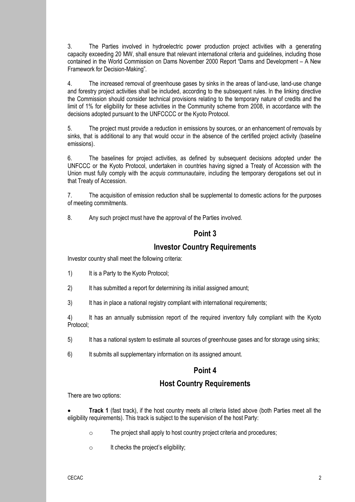3. The Parties involved in hydroelectric power production project activities with a generating capacity exceeding 20 MW, shall ensure that relevant international criteria and guidelines, including those contained in the World Commission on Dams November 2000 Report "Dams and Development - A New Framework for Decision-Making".

4. The increased removal of greenhouse gases by sinks in the areas of land-use, land-use change and forestry project activities shall be included, according to the subsequent rules. In the linking directive the Commission should consider technical provisions relating to the temporary nature of credits and the limit of 1% for eligibility for these activities in the Community scheme from 2008, in accordance with the decisions adopted pursuant to the UNFCCCC or the Kyoto Protocol.

5. The project must provide a reduction in emissions by sources, or an enhancement of removals by sinks, that is additional to any that would occur in the absence of the certified project activity (baseline emissions).

6. The baselines for project activities, as defined by subsequent decisions adopted under the UNFCCC or the Kyoto Protocol, undertaken in countries having signed a Treaty of Accession with the Union must fully comply with the *acquis communautaire*, including the temporary derogations set out in that Treaty of Accession.

7. The acquisition of emission reduction shall be supplemental to domestic actions for the purposes of meeting commitments.

8. Any such project must have the approval of the Parties involved.

#### **Point 3**

#### **Investor Country Requirements**

Investor country shall meet the following criteria:

- 1) It is a Party to the Kyoto Protocol;
- 2) It has submitted a report for determining its initial assigned amount;
- 3) It has in place a national registry compliant with international requirements;

4) It has an annually submission report of the required inventory fully compliant with the Kyoto Protocol;

- 5) It has a national system to estimate all sources of greenhouse gases and for storage using sinks;
- 6) It submits all supplementary information on its assigned amount.

#### **Point 4**

## **Host Country Requirements**

There are two options:

**Track 1** (fast track), if the host country meets all criteria listed above (both Parties meet all the eligibility requirements). This track is subject to the supervision of the host Party:

- o The project shall apply to host country project criteria and procedures;
- $\circ$  It checks the project's eligibility;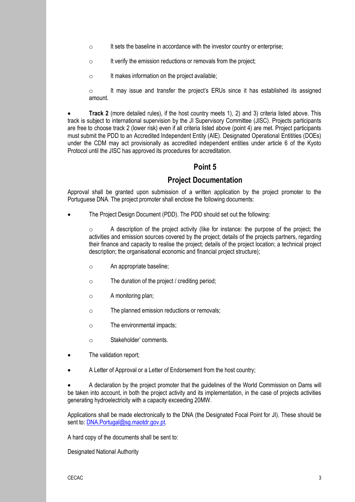- $\circ$  It sets the baseline in accordance with the investor country or enterprise;
- $\circ$  It verify the emission reductions or removals from the project;
- o It makes information on the project available;

 $\circ$  It may issue and transfer the project's ERUs since it has established its assigned amount.

**Track 2** (more detailed rules), if the host country meets 1), 2) and 3) criteria listed above. This track is subject to international supervision by the JI Supervisory Committee (JISC). Projects participants are free to choose track 2 (lower risk) even if all criteria listed above (point 4) are met. Project participants must submit the PDD to an Accredited Independent Entity (AIE). Designated Operational Entitities (DOEs) under the CDM may act provisionally as accredited independent entities under article 6 of the Kyoto Protocol until the JISC has approved its procedures for accreditation.

#### **Point 5**

#### **Project Documentation**

Approval shall be granted upon submission of a written application by the project promoter to the Portuguese DNA. The project promoter shall enclose the following documents:

• The Project Design Document (PDD). The PDD should set out the following:

o A description of the project activity (like for instance: the purpose of the project; the activities and emission sources covered by the project; details of the projects partners, regarding their finance and capacity to realise the project; details of the project location; a technical project description; the organisational economic and financial project structure);

- o An appropriate baseline;
- o The duration of the project / crediting period;
- o A monitoring plan;
- o The planned emission reductions or removals;
- $\circ$  The environmental impacts:
- o Stakeholderí comments.
- The validation report;
- A Letter of Approval or a Letter of Endorsement from the host country;

• A declaration by the project promoter that the guidelines of the World Commission on Dams will be taken into account, in both the project activity and its implementation, in the case of projects activities generating hydroelectricity with a capacity exceeding 20MW.

Applications shall be made electronically to the DNA (the Designated Focal Point for JI). These should be sent to: DNA.Portugal@sg.maotdr.gov.pt.

A hard copy of the documents shall be sent to:

Designated National Authority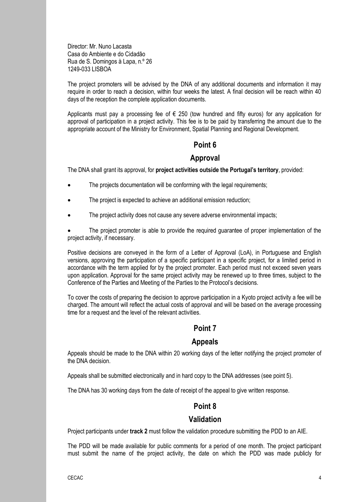Director: Mr. Nuno Lacasta Casa do Ambiente e do Cidadão Rua de S. Domingos à Lapa, n.º 26 1249-033 LISBOA

The project promoters will be advised by the DNA of any additional documents and information it may require in order to reach a decision, within four weeks the latest. A final decision will be reach within 40 days of the reception the complete application documents.

Applicants must pay a processing fee of  $\epsilon$  250 (tow hundred and fifty euros) for any application for approval of participation in a project activity. This fee is to be paid by transferring the amount due to the appropriate account of the Ministry for Environment, Spatial Planning and Regional Development.

#### **Point 6**

#### **Approval**

The DNA shall grant its approval, for **project activities outside the Portugalís territory**, provided:

- The projects documentation will be conforming with the legal requirements;
- The project is expected to achieve an additional emission reduction;
- The project activity does not cause any severe adverse environmental impacts;
- The project promoter is able to provide the required guarantee of proper implementation of the project activity, if necessary.

Positive decisions are conveyed in the form of a Letter of Approval (LoA), in Portuguese and English versions, approving the participation of a specific participant in a specific project, for a limited period in accordance with the term applied for by the project promoter. Each period must not exceed seven years upon application. Approval for the same project activity may be renewed up to three times, subject to the Conference of the Parties and Meeting of the Parties to the Protocol's decisions.

To cover the costs of preparing the decision to approve participation in a Kyoto project activity a fee will be charged. The amount will reflect the actual costs of approval and will be based on the average processing time for a request and the level of the relevant activities.

## **Point 7**

#### **Appeals**

Appeals should be made to the DNA within 20 working days of the letter notifying the project promoter of the DNA decision.

Appeals shall be submitted electronically and in hard copy to the DNA addresses (see point 5).

The DNA has 30 working days from the date of receipt of the appeal to give written response.

## **Point 8**

#### **Validation**

Project participants under **track 2** must follow the validation procedure submitting the PDD to an AIE.

The PDD will be made available for public comments for a period of one month. The project participant must submit the name of the project activity, the date on which the PDD was made publicly for